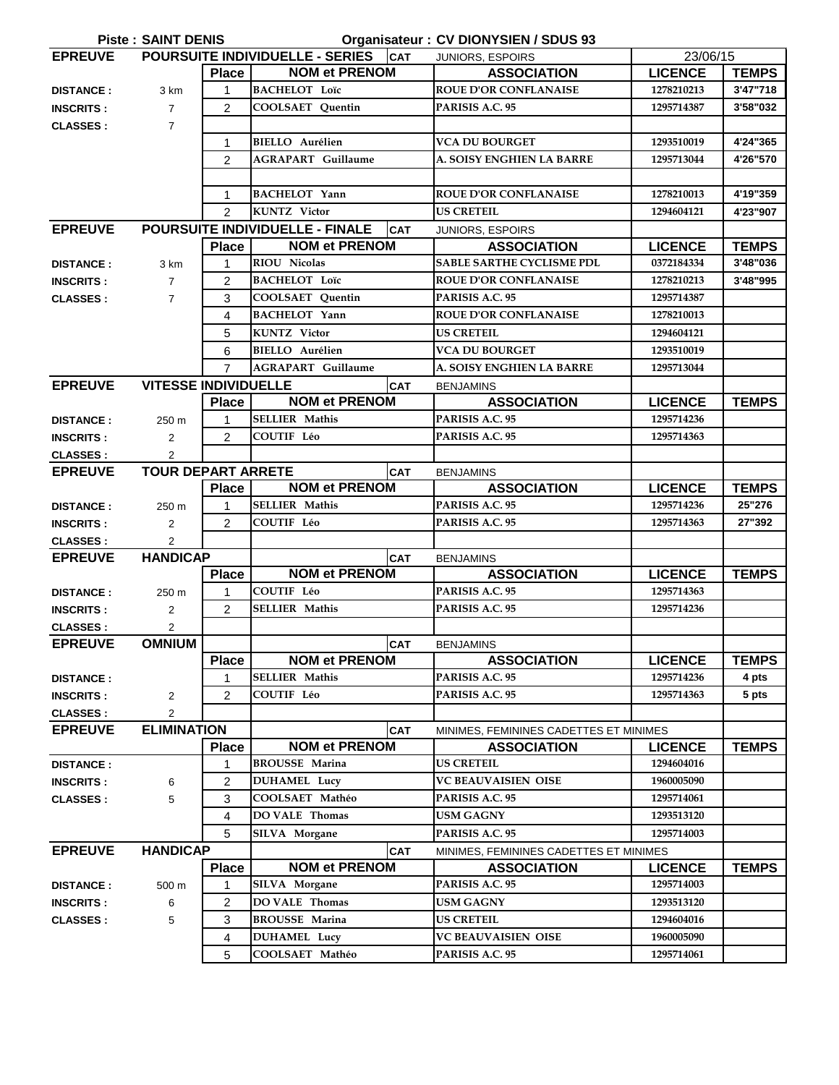| <b>Piste: SAINT DENIS</b><br>Organisateur : CV DIONYSIEN / SDUS 93 |                             |                     |                                                       |                                            |                              |              |  |
|--------------------------------------------------------------------|-----------------------------|---------------------|-------------------------------------------------------|--------------------------------------------|------------------------------|--------------|--|
| <b>EPREUVE</b>                                                     |                             |                     | <b>POURSUITE INDIVIDUELLE - SERIES</b><br><b>CAT</b>  | <b>JUNIORS, ESPOIRS</b>                    | 23/06/15                     |              |  |
|                                                                    |                             | <b>Place</b>        | <b>NOM et PRENOM</b>                                  | <b>ASSOCIATION</b>                         | <b>LICENCE</b>               | <b>TEMPS</b> |  |
| <b>DISTANCE:</b>                                                   | 3 km                        | $\mathbf{1}$        | <b>BACHELOT Loïc</b>                                  | <b>ROUE D'OR CONFLANAISE</b>               | 1278210213                   | 3'47"718     |  |
| <b>INSCRITS:</b>                                                   | $\overline{7}$              | $\mathcal{P}$       | <b>COOLSAET</b> Ouentin                               | PARISIS A.C. 95                            | 1295714387                   | 3'58"032     |  |
| <b>CLASSES:</b>                                                    | $\overline{7}$              |                     |                                                       |                                            |                              |              |  |
|                                                                    |                             | $\mathbf{1}$        | <b>BIELLO</b> Aurélien                                | VCA DU BOURGET                             | 1293510019                   | 4'24"365     |  |
|                                                                    |                             | $\overline{2}$      | <b>AGRAPART</b> Guillaume                             | A. SOISY ENGHIEN LA BARRE                  | 1295713044                   | 4'26"570     |  |
|                                                                    |                             |                     |                                                       |                                            |                              |              |  |
|                                                                    |                             | $\mathbf{1}$        | <b>BACHELOT</b> Yann                                  | <b>ROUE D'OR CONFLANAISE</b>               | 1278210013                   | 4'19"359     |  |
|                                                                    |                             | 2                   | KUNTZ Victor                                          | <b>US CRETEIL</b>                          | 1294604121                   | 4'23"907     |  |
| <b>EPREUVE</b>                                                     |                             |                     | <b>POURSUITE INDIVIDUELLE - FINALE</b><br><b>ICAT</b> | JUNIORS, ESPOIRS                           |                              |              |  |
|                                                                    |                             | <b>Place</b>        | <b>NOM et PRENOM</b>                                  | <b>ASSOCIATION</b>                         | <b>LICENCE</b>               | <b>TEMPS</b> |  |
| <b>DISTANCE:</b>                                                   | 3 km                        | $\mathbf{1}$        | <b>RIOU Nicolas</b>                                   | <b>SABLE SARTHE CYCLISME PDL</b>           | 0372184334                   | 3'48"036     |  |
| <b>INSCRITS:</b>                                                   | $\overline{7}$              | 2                   | <b>BACHELOT Loïc</b>                                  | <b>ROUE D'OR CONFLANAISE</b>               | 1278210213                   | 3'48"995     |  |
| <b>CLASSES:</b>                                                    | $\overline{7}$              | 3                   | COOLSAET Quentin                                      | PARISIS A.C. 95                            | 1295714387                   |              |  |
|                                                                    |                             | $\overline{4}$      | <b>BACHELOT</b> Yann                                  | <b>ROUE D'OR CONFLANAISE</b>               | 1278210013                   |              |  |
|                                                                    |                             | 5                   | <b>KUNTZ</b> Victor                                   | <b>US CRETEIL</b><br><b>VCA DU BOURGET</b> | 1294604121                   |              |  |
|                                                                    |                             | 6<br>$\overline{7}$ | <b>BIELLO</b> Aurélien<br><b>AGRAPART</b> Guillaume   |                                            | 1293510019                   |              |  |
| <b>EPREUVE</b>                                                     | <b>VITESSE INDIVIDUELLE</b> |                     |                                                       | A. SOISY ENGHIEN LA BARRE                  | 1295713044                   |              |  |
|                                                                    |                             | <b>Place</b>        | <b>CAT</b><br><b>NOM et PRENOM</b>                    | <b>BENJAMINS</b><br><b>ASSOCIATION</b>     | <b>LICENCE</b>               | <b>TEMPS</b> |  |
| <b>DISTANCE:</b>                                                   | 250 m                       | $\mathbf{1}$        | <b>SELLIER Mathis</b>                                 | PARISIS A.C. 95                            | 1295714236                   |              |  |
| <b>INSCRITS:</b>                                                   | $\overline{c}$              | $\overline{2}$      | <b>COUTIF Léo</b>                                     | PARISIS A.C. 95                            | 1295714363                   |              |  |
| <b>CLASSES:</b>                                                    | 2                           |                     |                                                       |                                            |                              |              |  |
| <b>EPREUVE</b>                                                     | <b>TOUR DEPART ARRETE</b>   |                     | <b>CAT</b>                                            | <b>BENJAMINS</b>                           |                              |              |  |
|                                                                    |                             | <b>Place</b>        | <b>NOM et PRENOM</b>                                  | <b>ASSOCIATION</b>                         | <b>LICENCE</b>               | <b>TEMPS</b> |  |
| <b>DISTANCE:</b>                                                   | 250 m                       | 1                   | <b>SELLIER Mathis</b>                                 | PARISIS A.C. 95                            | 1295714236                   | 25"276       |  |
| <b>INSCRITS:</b>                                                   | $\overline{c}$              | $\overline{2}$      | <b>COUTIF Léo</b>                                     | PARISIS A.C. 95                            | 1295714363                   | 27"392       |  |
| <b>CLASSES:</b>                                                    | $\overline{2}$              |                     |                                                       |                                            |                              |              |  |
| <b>EPREUVE</b>                                                     | <b>HANDICAP</b>             |                     | <b>CAT</b>                                            | <b>BENJAMINS</b>                           |                              |              |  |
|                                                                    |                             | <b>Place</b>        | <b>NOM et PRENOM</b>                                  | <b>ASSOCIATION</b>                         | <b>LICENCE</b>               | <b>TEMPS</b> |  |
| <b>DISTANCE:</b>                                                   | 250 m                       | $\mathbf{1}$        | <b>COUTIF Léo</b>                                     | PARISIS A.C. 95                            | 1295714363                   |              |  |
| <b>INSCRITS:</b>                                                   | $\overline{c}$              | $\overline{2}$      | <b>SELLIER Mathis</b>                                 | PARISIS A.C. 95                            | 1295714236                   |              |  |
| <b>CLASSES:</b>                                                    | $\overline{2}$              |                     |                                                       |                                            |                              |              |  |
| <b>EPREUVE</b>                                                     | <b>OMNIUM</b>               |                     | <b>CAT</b>                                            | <b>BENJAMINS</b>                           |                              |              |  |
|                                                                    |                             | <b>Place</b>        | <b>NOM et PRENOM</b>                                  | <b>ASSOCIATION</b>                         | <b>LICENCE</b>               | <b>TEMPS</b> |  |
| <b>DISTANCE:</b>                                                   |                             | $\mathbf{1}$        | <b>SELLIER Mathis</b>                                 | PARISIS A.C. 95                            | 1295714236                   | 4 pts        |  |
| <b>INSCRITS:</b>                                                   | $\overline{2}$              | $\overline{2}$      | COUTIF Léo                                            | PARISIS A.C. 95                            | 1295714363                   | 5 pts        |  |
| <b>CLASSES:</b>                                                    | 2                           |                     |                                                       |                                            |                              |              |  |
| <b>EPREUVE</b>                                                     | <b>ELIMINATION</b>          |                     | <b>CAT</b>                                            | MINIMES, FEMININES CADETTES ET MINIMES     |                              |              |  |
|                                                                    |                             | <b>Place</b>        | <b>NOM et PRENOM</b>                                  | <b>ASSOCIATION</b>                         | <b>LICENCE</b>               | <b>TEMPS</b> |  |
| <b>DISTANCE:</b>                                                   |                             | 1                   | <b>BROUSSE Marina</b>                                 | <b>US CRETEIL</b>                          | 1294604016                   |              |  |
| <b>INSCRITS:</b>                                                   | 6                           | 2                   | <b>DUHAMEL Lucy</b>                                   | <b>VC BEAUVAISIEN OISE</b>                 | 1960005090                   |              |  |
| <b>CLASSES:</b>                                                    | 5                           | 3                   | COOLSAET Mathéo                                       | PARISIS A.C. 95                            | 1295714061                   |              |  |
|                                                                    |                             | 4                   | DO VALE Thomas                                        | <b>USM GAGNY</b>                           | 1293513120                   |              |  |
|                                                                    |                             | 5                   | SILVA Morgane                                         | PARISIS A.C. 95                            | 1295714003                   |              |  |
| <b>EPREUVE</b>                                                     | <b>HANDICAP</b>             |                     | <b>CAT</b><br><b>NOM et PRENOM</b>                    | MINIMES, FEMININES CADETTES ET MINIMES     |                              |              |  |
|                                                                    |                             | <b>Place</b>        | SILVA Morgane                                         | <b>ASSOCIATION</b><br>PARISIS A.C. 95      | <b>LICENCE</b><br>1295714003 | <b>TEMPS</b> |  |
| <b>DISTANCE:</b>                                                   | 500 m                       | 1<br>$\overline{c}$ | DO VALE Thomas                                        | <b>USM GAGNY</b>                           | 1293513120                   |              |  |
| <b>INSCRITS:</b><br><b>CLASSES:</b>                                | 6<br>5                      | 3                   | <b>BROUSSE Marina</b>                                 | <b>US CRETEIL</b>                          | 1294604016                   |              |  |
|                                                                    |                             | 4                   | <b>DUHAMEL Lucy</b>                                   | <b>VC BEAUVAISIEN OISE</b>                 | 1960005090                   |              |  |
|                                                                    |                             | 5                   | COOLSAET Mathéo                                       | PARISIS A.C. 95                            | 1295714061                   |              |  |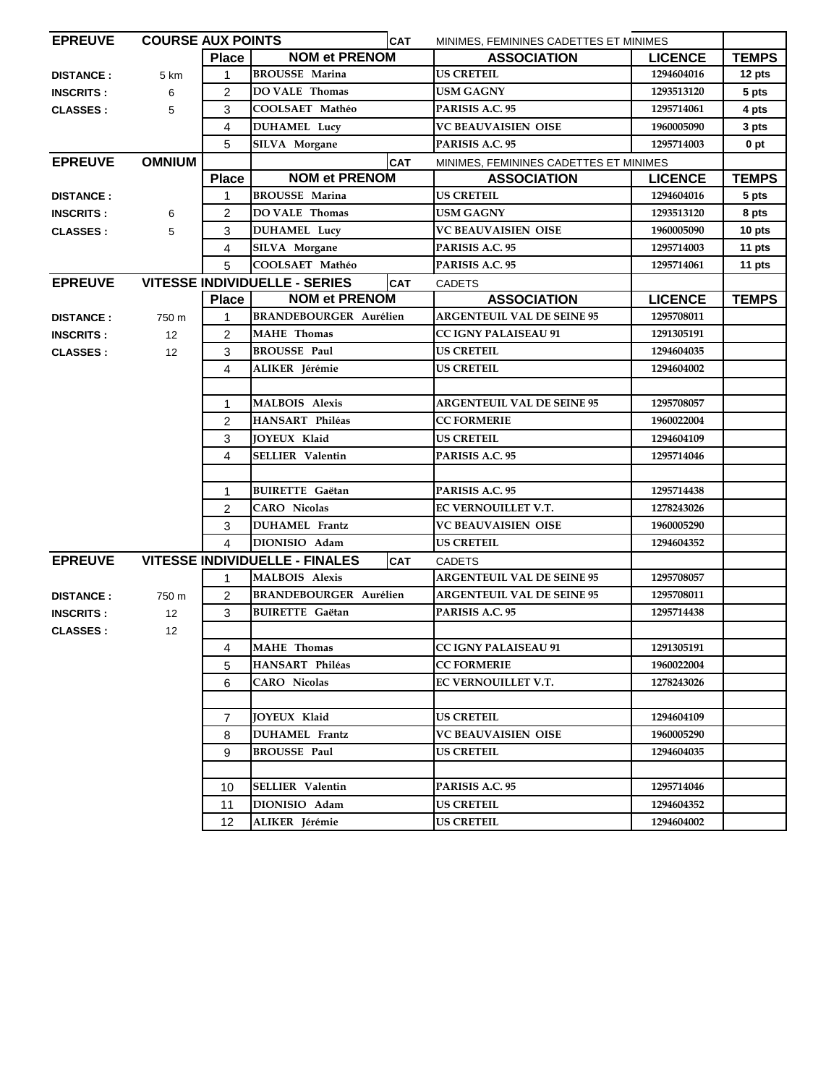| <b>EPREUVE</b>   |                                                                                        | <b>COURSE AUX POINTS</b> |                                      | <b>CAT</b><br>MINIMES, FEMININES CADETTES ET MINIMES |                                        |                |                 |
|------------------|----------------------------------------------------------------------------------------|--------------------------|--------------------------------------|------------------------------------------------------|----------------------------------------|----------------|-----------------|
|                  |                                                                                        | <b>Place</b>             | <b>NOM et PRENOM</b>                 |                                                      | <b>ASSOCIATION</b>                     | <b>LICENCE</b> | <b>TEMPS</b>    |
| <b>DISTANCE:</b> | 5 km                                                                                   | $\mathbf 1$              | <b>BROUSSE Marina</b>                |                                                      | <b>US CRETEIL</b>                      | 1294604016     | 12 pts          |
| <b>INSCRITS:</b> | 6                                                                                      | 2                        | <b>DO VALE Thomas</b>                |                                                      | <b>USM GAGNY</b>                       | 1293513120     | 5 pts           |
| <b>CLASSES:</b>  | 5                                                                                      | 3                        | COOLSAET Mathéo                      |                                                      | PARISIS A.C. 95                        | 1295714061     | 4 pts           |
|                  |                                                                                        | 4                        | <b>DUHAMEL Lucy</b>                  |                                                      | <b>VC BEAUVAISIEN OISE</b>             | 1960005090     | 3 pts           |
|                  |                                                                                        | 5                        | SILVA Morgane                        |                                                      | PARISIS A.C. 95                        | 1295714003     | 0 <sub>pt</sub> |
| <b>EPREUVE</b>   | <b>OMNIUM</b>                                                                          |                          |                                      | <b>CAT</b>                                           | MINIMES, FEMININES CADETTES ET MINIMES |                |                 |
|                  |                                                                                        | <b>Place</b>             | <b>NOM et PRENOM</b>                 |                                                      | <b>ASSOCIATION</b>                     | <b>LICENCE</b> | <b>TEMPS</b>    |
| <b>DISTANCE:</b> |                                                                                        | 1                        | <b>BROUSSE Marina</b>                |                                                      | <b>US CRETEIL</b>                      | 1294604016     | 5 pts           |
| <b>INSCRITS:</b> | 6                                                                                      | 2                        | DO VALE Thomas                       |                                                      | <b>USM GAGNY</b>                       | 1293513120     | 8 pts           |
| <b>CLASSES:</b>  | 5                                                                                      | 3                        | <b>DUHAMEL Lucy</b>                  |                                                      | <b>VC BEAUVAISIEN OISE</b>             | 1960005090     | 10 pts          |
|                  |                                                                                        | 4                        | SILVA Morgane                        |                                                      | PARISIS A.C. 95                        | 1295714003     | 11 pts          |
|                  |                                                                                        | 5                        | COOLSAET Mathéo                      |                                                      | PARISIS A.C. 95                        | 1295714061     | 11 pts          |
| <b>EPREUVE</b>   |                                                                                        |                          | <b>VITESSE INDIVIDUELLE - SERIES</b> | <b>CAT</b>                                           | <b>CADETS</b>                          |                |                 |
|                  |                                                                                        | <b>Place</b>             | <b>NOM et PRENOM</b>                 |                                                      | <b>ASSOCIATION</b>                     | <b>LICENCE</b> | <b>TEMPS</b>    |
| <b>DISTANCE:</b> | 750 m                                                                                  | 1                        | <b>BRANDEBOURGER Aurélien</b>        |                                                      | <b>ARGENTEUIL VAL DE SEINE 95</b>      | 1295708011     |                 |
| <b>INSCRITS:</b> | 12                                                                                     | $\mathcal{P}$            | <b>MAHE</b> Thomas                   |                                                      | <b>CC IGNY PALAISEAU 91</b>            | 1291305191     |                 |
| <b>CLASSES:</b>  | 12                                                                                     | 3                        | <b>BROUSSE Paul</b>                  |                                                      | <b>US CRETEIL</b>                      | 1294604035     |                 |
|                  |                                                                                        | 4                        | ALIKER Jérémie                       |                                                      | <b>US CRETEIL</b>                      | 1294604002     |                 |
|                  |                                                                                        |                          |                                      |                                                      |                                        |                |                 |
|                  |                                                                                        | $\mathbf{1}$             | <b>MALBOIS Alexis</b>                |                                                      | <b>ARGENTEUIL VAL DE SEINE 95</b>      | 1295708057     |                 |
|                  |                                                                                        | 2                        | HANSART Philéas                      |                                                      | <b>CC FORMERIE</b>                     | 1960022004     |                 |
|                  |                                                                                        | 3                        | <b>JOYEUX Klaid</b>                  |                                                      | <b>US CRETEIL</b>                      | 1294604109     |                 |
|                  |                                                                                        | 4                        | <b>SELLIER Valentin</b>              |                                                      | PARISIS A.C. 95                        | 1295714046     |                 |
|                  |                                                                                        |                          |                                      |                                                      |                                        |                |                 |
|                  |                                                                                        | 1                        | <b>BUIRETTE Gaëtan</b>               |                                                      | PARISIS A.C. 95                        | 1295714438     |                 |
|                  |                                                                                        | 2                        | <b>CARO</b> Nicolas                  |                                                      | EC VERNOUILLET V.T.                    | 1278243026     |                 |
|                  |                                                                                        | 3                        | <b>DUHAMEL</b> Frantz                |                                                      | <b>VC BEAUVAISIEN OISE</b>             | 1960005290     |                 |
|                  |                                                                                        | 4                        | DIONISIO Adam                        |                                                      | <b>US CRETEIL</b>                      | 1294604352     |                 |
|                  | <b>VITESSE INDIVIDUELLE - FINALES</b><br><b>EPREUVE</b><br><b>CAT</b><br><b>CADETS</b> |                          |                                      |                                                      |                                        |                |                 |
|                  |                                                                                        | 1                        | <b>MALBOIS Alexis</b>                |                                                      | <b>ARGENTEUIL VAL DE SEINE 95</b>      | 1295708057     |                 |
| <b>DISTANCE:</b> | 750 m                                                                                  | 2                        | <b>BRANDEBOURGER Aurélien</b>        |                                                      | <b>ARGENTEUIL VAL DE SEINE 95</b>      | 1295708011     |                 |
| <b>INSCRITS:</b> | 12                                                                                     | 3                        | <b>BUIRETTE Gaëtan</b>               |                                                      | PARISIS A.C. 95                        | 1295714438     |                 |
| <b>CLASSES:</b>  | 12                                                                                     |                          |                                      |                                                      |                                        |                |                 |
|                  |                                                                                        | 4                        | <b>MAHE</b> Thomas                   |                                                      | <b>CC IGNY PALAISEAU 91</b>            | 1291305191     |                 |
|                  |                                                                                        | 5                        | <b>HANSART Philéas</b>               |                                                      | <b>CC FORMERIE</b>                     | 1960022004     |                 |
|                  |                                                                                        | 6                        | <b>CARO</b> Nicolas                  |                                                      | <b>EC VERNOUILLET V.T.</b>             | 1278243026     |                 |
|                  |                                                                                        |                          |                                      |                                                      |                                        |                |                 |
|                  |                                                                                        | 7                        | <b>JOYEUX Klaid</b>                  |                                                      | <b>US CRETEIL</b>                      | 1294604109     |                 |
|                  |                                                                                        | 8                        | <b>DUHAMEL</b> Frantz                |                                                      | <b>VC BEAUVAISIEN OISE</b>             | 1960005290     |                 |
|                  |                                                                                        | 9                        | <b>BROUSSE Paul</b>                  |                                                      | <b>US CRETEIL</b>                      | 1294604035     |                 |
|                  |                                                                                        |                          |                                      |                                                      |                                        |                |                 |
|                  |                                                                                        | 10                       | SELLIER Valentin                     |                                                      | PARISIS A.C. 95                        | 1295714046     |                 |
|                  |                                                                                        | 11                       | DIONISIO Adam                        |                                                      | <b>US CRETEIL</b>                      | 1294604352     |                 |
|                  |                                                                                        | 12                       | ALIKER Jérémie                       |                                                      | <b>US CRETEIL</b>                      | 1294604002     |                 |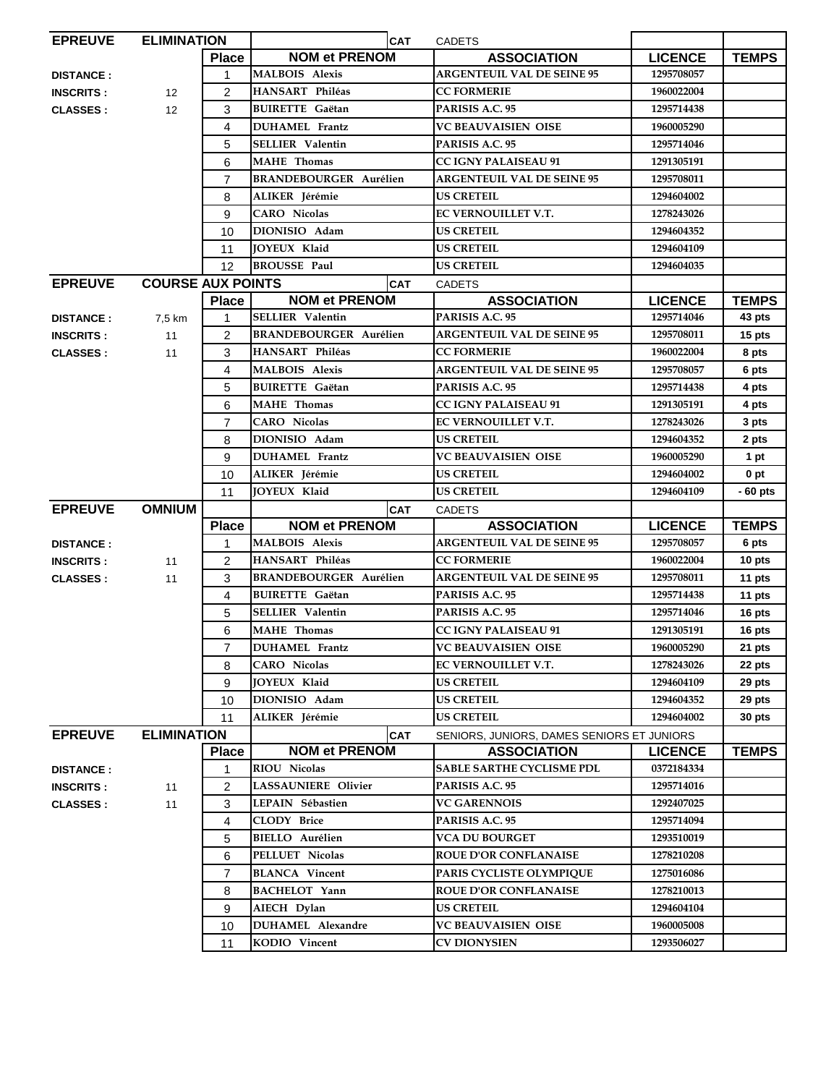| <b>EPREUVE</b>   | <b>ELIMINATION</b>       |                | <b>CAT</b>                    | <b>CADETS</b>                              |                |              |
|------------------|--------------------------|----------------|-------------------------------|--------------------------------------------|----------------|--------------|
|                  |                          | <b>Place</b>   | <b>NOM et PRENOM</b>          | <b>ASSOCIATION</b>                         | <b>LICENCE</b> | <b>TEMPS</b> |
| <b>DISTANCE:</b> |                          | 1              | <b>MALBOIS Alexis</b>         | <b>ARGENTEUIL VAL DE SEINE 95</b>          | 1295708057     |              |
| <b>INSCRITS:</b> | 12                       | $\overline{2}$ | HANSART Philéas               | <b>CC FORMERIE</b>                         | 1960022004     |              |
| <b>CLASSES:</b>  | 12                       | 3              | <b>BUIRETTE</b> Gaëtan        | PARISIS A.C. 95                            | 1295714438     |              |
|                  |                          | 4              | <b>DUHAMEL</b> Frantz         | <b>VC BEAUVAISIEN OISE</b>                 | 1960005290     |              |
|                  |                          | 5              | <b>SELLIER</b> Valentin       | PARISIS A.C. 95                            | 1295714046     |              |
|                  |                          | 6              | <b>MAHE</b> Thomas            | <b>CC IGNY PALAISEAU 91</b>                | 1291305191     |              |
|                  |                          | $\overline{7}$ | <b>BRANDEBOURGER Aurélien</b> | <b>ARGENTEUIL VAL DE SEINE 95</b>          | 1295708011     |              |
|                  |                          | 8              | ALIKER Jérémie                | <b>US CRETEIL</b>                          | 1294604002     |              |
|                  |                          | 9              | <b>CARO</b> Nicolas           | EC VERNOUILLET V.T.                        | 1278243026     |              |
|                  |                          | 10             | DIONISIO Adam                 | <b>US CRETEIL</b>                          | 1294604352     |              |
|                  |                          | 11             | <b>JOYEUX Klaid</b>           | <b>US CRETEIL</b>                          | 1294604109     |              |
|                  |                          | 12             | <b>BROUSSE Paul</b>           | <b>US CRETEIL</b>                          | 1294604035     |              |
| <b>EPREUVE</b>   | <b>COURSE AUX POINTS</b> |                | <b>CAT</b>                    | <b>CADETS</b>                              |                |              |
|                  |                          | <b>Place</b>   | <b>NOM et PRENOM</b>          | <b>ASSOCIATION</b>                         | <b>LICENCE</b> | <b>TEMPS</b> |
| <b>DISTANCE:</b> | 7,5 km                   | $\mathbf{1}$   | <b>SELLIER</b> Valentin       | PARISIS A.C. 95                            | 1295714046     | 43 pts       |
| <b>INSCRITS:</b> | 11                       | 2              | <b>BRANDEBOURGER Aurélien</b> | <b>ARGENTEUIL VAL DE SEINE 95</b>          | 1295708011     | 15 pts       |
| <b>CLASSES:</b>  | 11                       | 3              | HANSART Philéas               | <b>CC FORMERIE</b>                         | 1960022004     | 8 pts        |
|                  |                          | 4              | <b>MALBOIS Alexis</b>         | <b>ARGENTEUIL VAL DE SEINE 95</b>          | 1295708057     | 6 pts        |
|                  |                          | 5              | <b>BUIRETTE</b> Gaëtan        | PARISIS A.C. 95                            | 1295714438     | 4 pts        |
|                  |                          | 6              | <b>MAHE</b> Thomas            | <b>CC IGNY PALAISEAU 91</b>                | 1291305191     | 4 pts        |
|                  |                          | $\overline{7}$ | <b>CARO</b> Nicolas           | EC VERNOUILLET V.T.                        | 1278243026     | 3 pts        |
|                  |                          | 8              | DIONISIO Adam                 | <b>US CRETEIL</b>                          | 1294604352     | 2 pts        |
|                  |                          | 9              | <b>DUHAMEL</b> Frantz         | <b>VC BEAUVAISIEN OISE</b>                 | 1960005290     | 1 pt         |
|                  |                          | 10             | ALIKER Jérémie                | <b>US CRETEIL</b>                          | 1294604002     | 0 pt         |
|                  |                          | 11             | JOYEUX Klaid                  | <b>US CRETEIL</b>                          | 1294604109     | $-60$ pts    |
| <b>EPREUVE</b>   | <b>OMNIUM</b>            |                | <b>CAT</b>                    | <b>CADETS</b>                              |                |              |
|                  |                          | <b>Place</b>   | <b>NOM et PRENOM</b>          | <b>ASSOCIATION</b>                         | <b>LICENCE</b> | <b>TEMPS</b> |
| <b>DISTANCE:</b> |                          | 1              | <b>MALBOIS Alexis</b>         | <b>ARGENTEUIL VAL DE SEINE 95</b>          | 1295708057     | 6 pts        |
| <b>INSCRITS:</b> | 11                       | $\overline{c}$ | HANSART Philéas               | <b>CC FORMERIE</b>                         | 1960022004     | 10 pts       |
| <b>CLASSES:</b>  | 11                       | 3              | <b>BRANDEBOURGER Aurélien</b> | <b>ARGENTEUIL VAL DE SEINE 95</b>          | 1295708011     | 11 pts       |
|                  |                          | 4              | <b>BUIRETTE</b> Gaëtan        | PARISIS A.C. 95                            | 1295714438     | 11 pts       |
|                  |                          | 5              | <b>SELLIER</b> Valentin       | PARISIS A.C. 95                            | 1295714046     | 16 pts       |
|                  |                          | 6              | <b>MAHE</b> Thomas            | <b>CC IGNY PALAISEAU 91</b>                | 1291305191     | 16 pts       |
|                  |                          | $\overline{7}$ | <b>DUHAMEL</b> Frantz         | <b>VC BEAUVAISIEN OISE</b>                 | 1960005290     | 21 pts       |
|                  |                          | 8              | <b>CARO</b> Nicolas           | <b>EC VERNOUILLET V.T.</b>                 | 1278243026     | 22 pts       |
|                  |                          | 9              | JOYEUX Klaid                  | <b>US CRETEIL</b>                          | 1294604109     | 29 pts       |
|                  |                          | 10             | DIONISIO Adam                 | <b>US CRETEIL</b>                          | 1294604352     | 29 pts       |
|                  |                          | 11             | ALIKER Jérémie                | <b>US CRETEIL</b>                          | 1294604002     | 30 pts       |
| <b>EPREUVE</b>   | <b>ELIMINATION</b>       |                | <b>CAT</b>                    | SENIORS, JUNIORS, DAMES SENIORS ET JUNIORS |                |              |
|                  |                          | <b>Place</b>   | <b>NOM et PRENOM</b>          | <b>ASSOCIATION</b>                         | <b>LICENCE</b> | <b>TEMPS</b> |
| <b>DISTANCE:</b> |                          | 1              | <b>RIOU Nicolas</b>           | <b>SABLE SARTHE CYCLISME PDL</b>           | 0372184334     |              |
| <b>INSCRITS:</b> | 11                       | $\overline{2}$ | <b>LASSAUNIERE Olivier</b>    | PARISIS A.C. 95                            | 1295714016     |              |
| <b>CLASSES:</b>  | 11                       | 3              | LEPAIN Sébastien              | <b>VC GARENNOIS</b>                        | 1292407025     |              |
|                  |                          | 4              | <b>CLODY Brice</b>            | PARISIS A.C. 95                            | 1295714094     |              |
|                  |                          | 5              | <b>BIELLO</b> Aurélien        | VCA DU BOURGET                             | 1293510019     |              |
|                  |                          | 6              | PELLUET Nicolas               | <b>ROUE D'OR CONFLANAISE</b>               | 1278210208     |              |
|                  |                          | $\overline{7}$ | <b>BLANCA</b> Vincent         | PARIS CYCLISTE OLYMPIQUE                   | 1275016086     |              |
|                  |                          | 8              | <b>BACHELOT Yann</b>          | <b>ROUE D'OR CONFLANAISE</b>               | 1278210013     |              |
|                  |                          | 9              | AIECH Dylan                   | <b>US CRETEIL</b>                          | 1294604104     |              |
|                  |                          | 10             | <b>DUHAMEL Alexandre</b>      | <b>VC BEAUVAISIEN OISE</b>                 | 1960005008     |              |
|                  |                          | 11             | KODIO Vincent                 | <b>CV DIONYSIEN</b>                        | 1293506027     |              |
|                  |                          |                |                               |                                            |                |              |